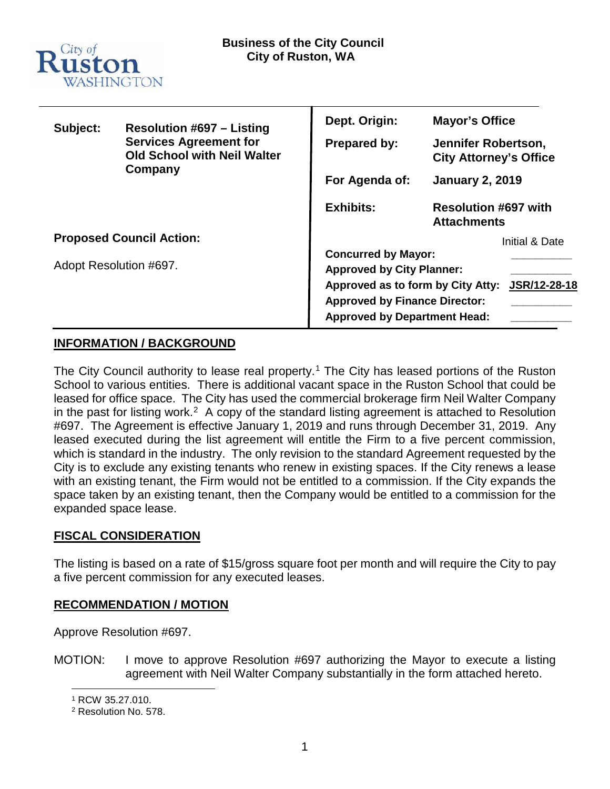

| Subject:                        | <b>Resolution #697 - Listing</b><br><b>Services Agreement for</b><br><b>Old School with Neil Walter</b><br>Company | Dept. Origin:                                                                                                                                                                                      | <b>Mayor's Office</b>                                |
|---------------------------------|--------------------------------------------------------------------------------------------------------------------|----------------------------------------------------------------------------------------------------------------------------------------------------------------------------------------------------|------------------------------------------------------|
|                                 |                                                                                                                    | Prepared by:                                                                                                                                                                                       | Jennifer Robertson,<br><b>City Attorney's Office</b> |
|                                 |                                                                                                                    | For Agenda of:                                                                                                                                                                                     | <b>January 2, 2019</b>                               |
|                                 |                                                                                                                    | <b>Exhibits:</b>                                                                                                                                                                                   | <b>Resolution #697 with</b><br><b>Attachments</b>    |
| <b>Proposed Council Action:</b> |                                                                                                                    |                                                                                                                                                                                                    | Initial & Date                                       |
| Adopt Resolution #697.          |                                                                                                                    | <b>Concurred by Mayor:</b><br><b>Approved by City Planner:</b><br>Approved as to form by City Atty:<br>JSR/12-28-18<br><b>Approved by Finance Director:</b><br><b>Approved by Department Head:</b> |                                                      |

## **INFORMATION / BACKGROUND**

The City Council authority to lease real property.<sup>[1](#page-0-0)</sup> The City has leased portions of the Ruston School to various entities. There is additional vacant space in the Ruston School that could be leased for office space. The City has used the commercial brokerage firm Neil Walter Company in the past for listing work.<sup>2</sup> A copy of the standard listing agreement is attached to Resolution #697. The Agreement is effective January 1, 2019 and runs through December 31, 2019. Any leased executed during the list agreement will entitle the Firm to a five percent commission, which is standard in the industry. The only revision to the standard Agreement requested by the City is to exclude any existing tenants who renew in existing spaces. If the City renews a lease with an existing tenant, the Firm would not be entitled to a commission. If the City expands the space taken by an existing tenant, then the Company would be entitled to a commission for the expanded space lease.

## **FISCAL CONSIDERATION**

The listing is based on a rate of \$15/gross square foot per month and will require the City to pay a five percent commission for any executed leases.

## **RECOMMENDATION / MOTION**

Approve Resolution #697.

<span id="page-0-0"></span>MOTION: I move to approve Resolution #697 authorizing the Mayor to execute a listing agreement with Neil Walter Company substantially in the form attached hereto.

 <sup>1</sup> RCW 35.27.010.

<span id="page-0-1"></span><sup>2</sup> Resolution No. 578.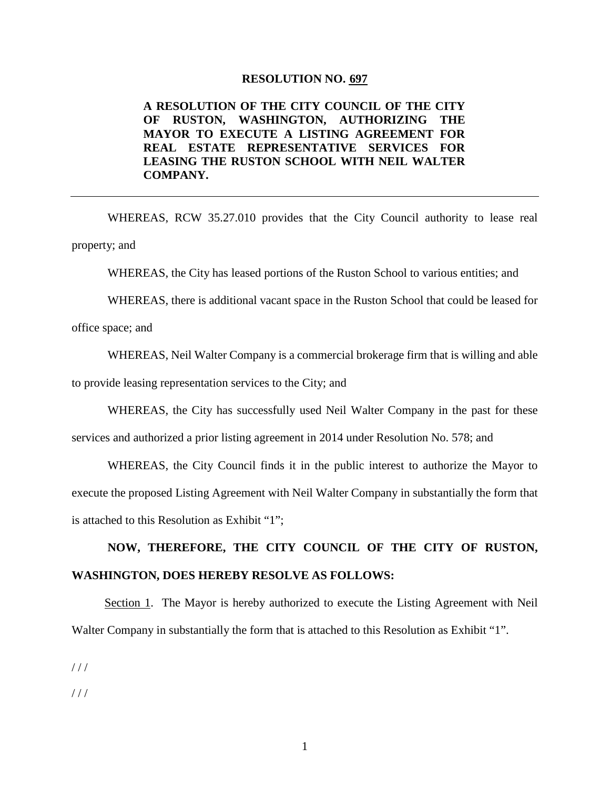#### **RESOLUTION NO. 697**

### **A RESOLUTION OF THE CITY COUNCIL OF THE CITY OF RUSTON, WASHINGTON, AUTHORIZING THE MAYOR TO EXECUTE A LISTING AGREEMENT FOR REAL ESTATE REPRESENTATIVE SERVICES FOR LEASING THE RUSTON SCHOOL WITH NEIL WALTER COMPANY.**

WHEREAS, RCW 35.27.010 provides that the City Council authority to lease real property; and

WHEREAS, the City has leased portions of the Ruston School to various entities; and

WHEREAS, there is additional vacant space in the Ruston School that could be leased for

office space; and

WHEREAS, Neil Walter Company is a commercial brokerage firm that is willing and able to provide leasing representation services to the City; and

WHEREAS, the City has successfully used Neil Walter Company in the past for these services and authorized a prior listing agreement in 2014 under Resolution No. 578; and

WHEREAS, the City Council finds it in the public interest to authorize the Mayor to execute the proposed Listing Agreement with Neil Walter Company in substantially the form that is attached to this Resolution as Exhibit "1";

## **NOW, THEREFORE, THE CITY COUNCIL OF THE CITY OF RUSTON, WASHINGTON, DOES HEREBY RESOLVE AS FOLLOWS:**

Section 1. The Mayor is hereby authorized to execute the Listing Agreement with Neil Walter Company in substantially the form that is attached to this Resolution as Exhibit "1".

 $1/1$ 

 $1/1$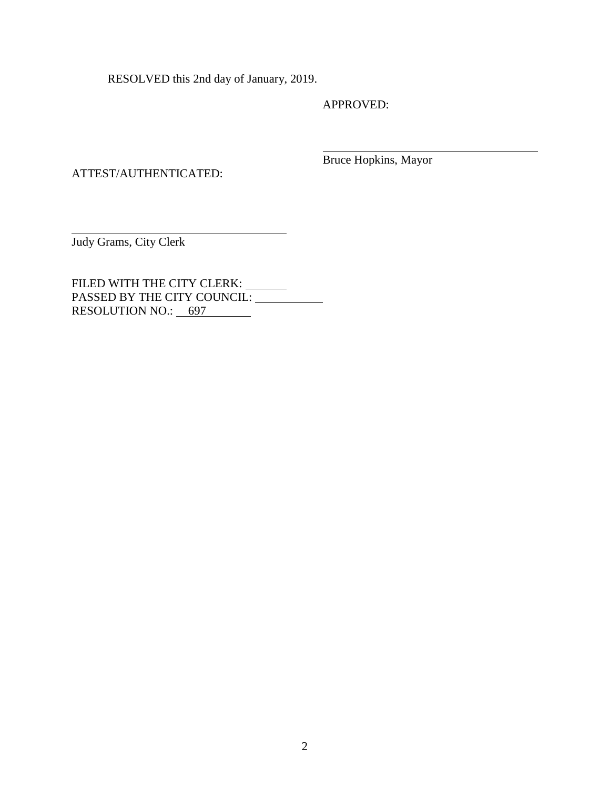RESOLVED this 2nd day of January, 2019.

APPROVED:

ATTEST/AUTHENTICATED:

Bruce Hopkins, Mayor

Judy Grams, City Clerk

FILED WITH THE CITY CLERK: PASSED BY THE CITY COUNCIL: RESOLUTION NO.: 697